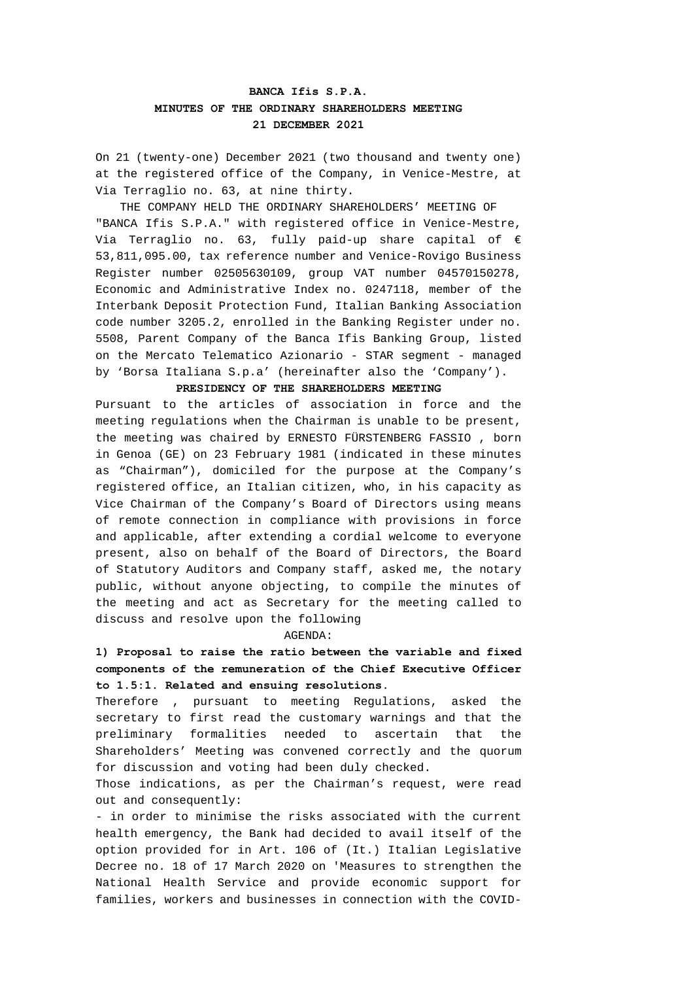# **BANCA Ifis S.P.A. MINUTES OF THE ORDINARY SHAREHOLDERS MEETING 21 DECEMBER 2021**

On 21 (twenty-one) December 2021 (two thousand and twenty one) at the registered office of the Company, in Venice-Mestre, at Via Terraglio no. 63, at nine thirty.

THE COMPANY HELD THE ORDINARY SHAREHOLDERS' MEETING OF "BANCA Ifis S.P.A." with registered office in Venice-Mestre, Via Terraglio no. 63, fully paid-up share capital of  $\epsilon$ 53,811,095.00, tax reference number and Venice-Rovigo Business Register number 02505630109, group VAT number 04570150278, Economic and Administrative Index no. 0247118, member of the Interbank Deposit Protection Fund, Italian Banking Association code number 3205.2, enrolled in the Banking Register under no. 5508, Parent Company of the Banca Ifis Banking Group, listed on the Mercato Telematico Azionario - STAR segment - managed by 'Borsa Italiana S.p.a' (hereinafter also the 'Company').

### **PRESIDENCY OF THE SHAREHOLDERS MEETING**

Pursuant to the articles of association in force and the meeting regulations when the Chairman is unable to be present, the meeting was chaired by ERNESTO FÜRSTENBERG FASSIO , born in Genoa (GE) on 23 February 1981 (indicated in these minutes as "Chairman"), domiciled for the purpose at the Company's registered office, an Italian citizen, who, in his capacity as Vice Chairman of the Company's Board of Directors using means of remote connection in compliance with provisions in force and applicable, after extending a cordial welcome to everyone present, also on behalf of the Board of Directors, the Board of Statutory Auditors and Company staff, asked me, the notary public, without anyone objecting, to compile the minutes of the meeting and act as Secretary for the meeting called to discuss and resolve upon the following

#### AGENDA:

## **1) Proposal to raise the ratio between the variable and fixed components of the remuneration of the Chief Executive Officer to 1.5:1. Related and ensuing resolutions.**

Therefore , pursuant to meeting Regulations, asked the secretary to first read the customary warnings and that the preliminary formalities needed to ascertain that the Shareholders' Meeting was convened correctly and the quorum for discussion and voting had been duly checked.

Those indications, as per the Chairman's request, were read out and consequently:

- in order to minimise the risks associated with the current health emergency, the Bank had decided to avail itself of the option provided for in Art. 106 of (It.) Italian Legislative Decree no. 18 of 17 March 2020 on 'Measures to strengthen the National Health Service and provide economic support for families, workers and businesses in connection with the COVID-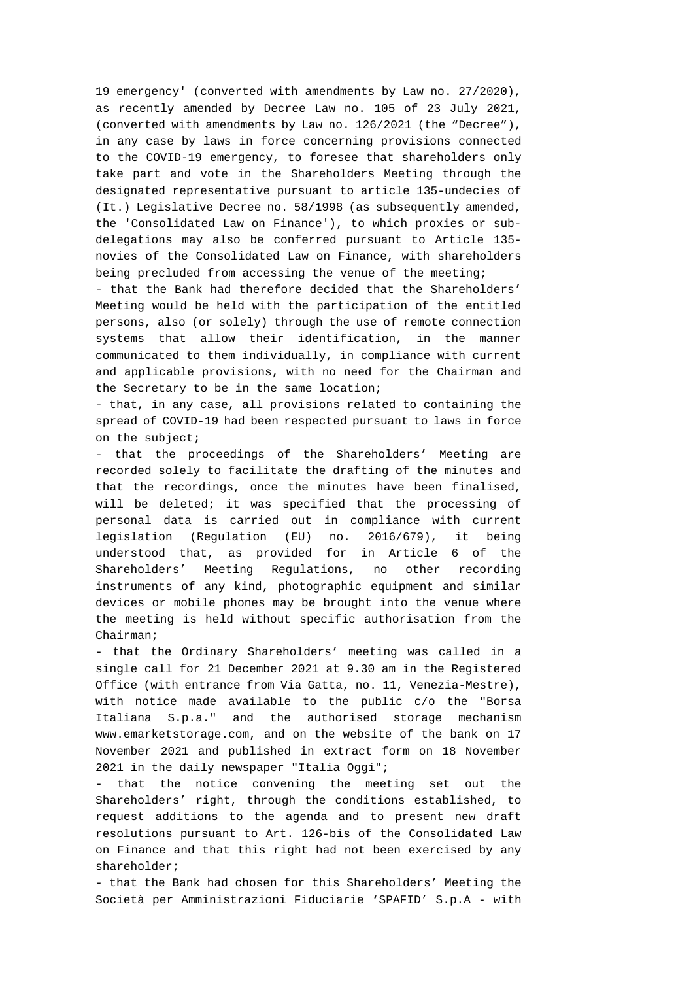19 emergency' (converted with amendments by Law no. 27/2020), as recently amended by Decree Law no. 105 of 23 July 2021, (converted with amendments by Law no. 126/2021 (the "Decree"), in any case by laws in force concerning provisions connected to the COVID-19 emergency, to foresee that shareholders only take part and vote in the Shareholders Meeting through the designated representative pursuant to article 135-undecies of (It.) Legislative Decree no. 58/1998 (as subsequently amended, the 'Consolidated Law on Finance'), to which proxies or subdelegations may also be conferred pursuant to Article 135 novies of the Consolidated Law on Finance, with shareholders being precluded from accessing the venue of the meeting;

*-* that the Bank had therefore decided that the Shareholders' Meeting would be held with the participation of the entitled persons, also (or solely) through the use of remote connection systems that allow their identification, in the manner communicated to them individually, in compliance with current and applicable provisions, with no need for the Chairman and the Secretary to be in the same location;

- that, in any case, all provisions related to containing the spread of COVID-19 had been respected pursuant to laws in force on the subject;

- that the proceedings of the Shareholders' Meeting are recorded solely to facilitate the drafting of the minutes and that the recordings, once the minutes have been finalised, will be deleted; it was specified that the processing of personal data is carried out in compliance with current legislation (Regulation (EU) no. 2016/679), it being understood that, as provided for in Article 6 of the Shareholders' Meeting Regulations, no other recording instruments of any kind, photographic equipment and similar devices or mobile phones may be brought into the venue where the meeting is held without specific authorisation from the Chairman;

- that the Ordinary Shareholders' meeting was called in a single call for 21 December 2021 at 9.30 am in the Registered Office (with entrance from Via Gatta, no. 11, Venezia-Mestre), with notice made available to the public c/o the "Borsa Italiana S.p.a." and the authorised storage mechanism www.emarketstorage.com, and on the website of the bank on 17 November 2021 and published in extract form on 18 November 2021 in the daily newspaper "Italia Oggi";

that the notice convening the meeting set out the Shareholders' right, through the conditions established, to request additions to the agenda and to present new draft resolutions pursuant to Art. 126-bis of the Consolidated Law on Finance and that this right had not been exercised by any shareholder;

*-* that the Bank had chosen for this Shareholders' Meeting the Società per Amministrazioni Fiduciarie 'SPAFID' S.p.A - with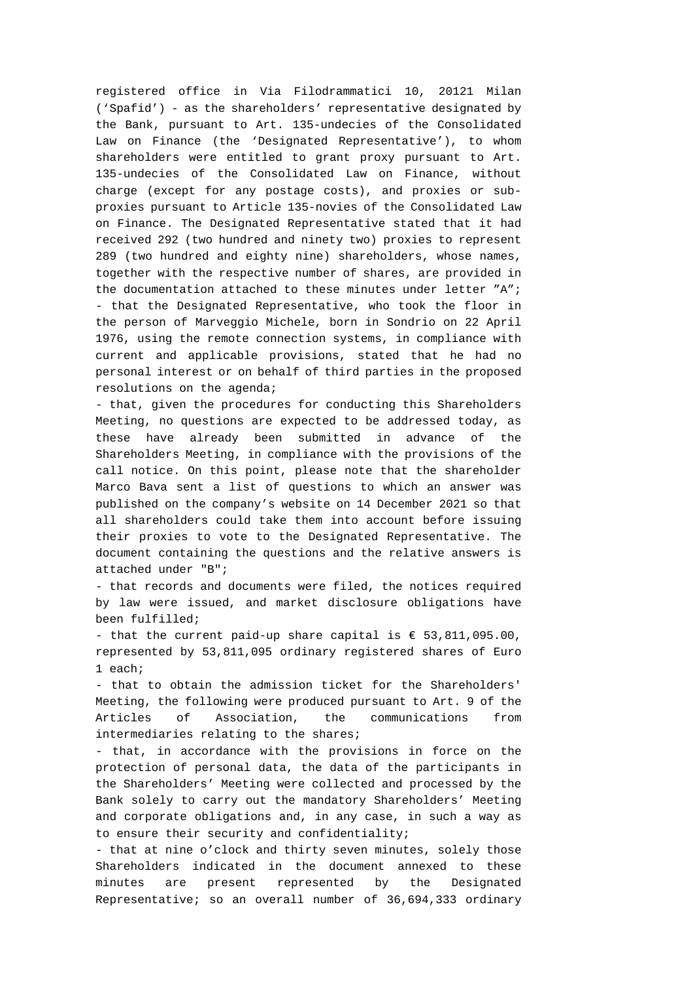registered office in Via Filodrammatici 10, 20121 Milan ('Spafid') - as the shareholders' representative designated by the Bank, pursuant to Art. 135-undecies of the Consolidated Law on Finance (the 'Designated Representative'), to whom shareholders were entitled to grant proxy pursuant to Art. 135-undecies of the Consolidated Law on Finance, without charge (except for any postage costs), and proxies or subproxies pursuant to Article 135-novies of the Consolidated Law on Finance. The Designated Representative stated that it had received 292 (two hundred and ninety two) proxies to represent 289 (two hundred and eighty nine) shareholders, whose names, together with the respective number of shares, are provided in the documentation attached to these minutes under letter "A"; - that the Designated Representative, who took the floor in the person of Marveggio Michele, born in Sondrio on 22 April 1976, using the remote connection systems, in compliance with current and applicable provisions, stated that he had no personal interest or on behalf of third parties in the proposed resolutions on the agenda;

- that, given the procedures for conducting this Shareholders Meeting, no questions are expected to be addressed today, as these have already been submitted in advance of the Shareholders Meeting, in compliance with the provisions of the call notice. On this point, please note that the shareholder Marco Bava sent a list of questions to which an answer was published on the company's website on 14 December 2021 so that all shareholders could take them into account before issuing their proxies to vote to the Designated Representative. The document containing the questions and the relative answers is attached under "B";

*-* that records and documents were filed, the notices required by law were issued, and market disclosure obligations have been fulfilled;

- that the current paid-up share capital is  $\epsilon$  53,811,095.00, represented by 53,811,095 ordinary registered shares of Euro 1 each;

- that to obtain the admission ticket for the Shareholders' Meeting, the following were produced pursuant to Art. 9 of the Articles of Association, the communications from intermediaries relating to the shares;

- that, in accordance with the provisions in force on the protection of personal data, the data of the participants in the Shareholders' Meeting were collected and processed by the Bank solely to carry out the mandatory Shareholders' Meeting and corporate obligations and, in any case, in such a way as to ensure their security and confidentiality;

- that at nine o'clock and thirty seven minutes, solely those Shareholders indicated in the document annexed to these minutes are present represented by the Designated Representative; so an overall number of 36,694,333 ordinary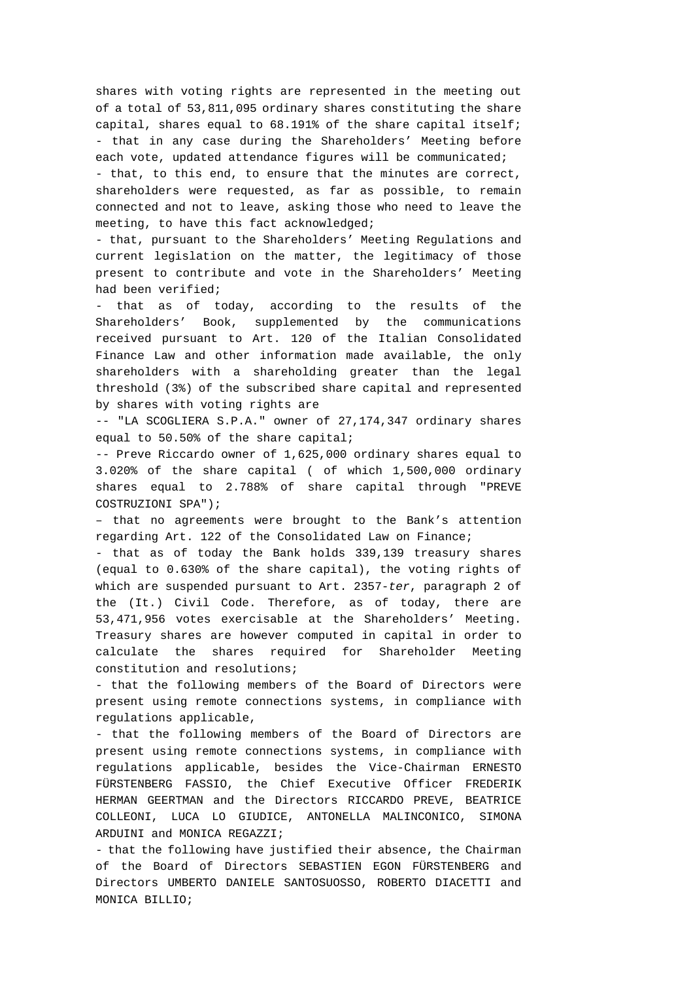shares with voting rights are represented in the meeting out of a total of 53,811,095 ordinary shares constituting the share capital, shares equal to 68.191% of the share capital itself; - that in any case during the Shareholders' Meeting before each vote, updated attendance figures will be communicated;

- that, to this end, to ensure that the minutes are correct, shareholders were requested, as far as possible, to remain connected and not to leave, asking those who need to leave the meeting, to have this fact acknowledged;

- that, pursuant to the Shareholders' Meeting Regulations and current legislation on the matter, the legitimacy of those present to contribute and vote in the Shareholders' Meeting had been verified;

*-* that as of today, according to the results of the Shareholders' Book, supplemented by the communications received pursuant to Art. 120 of the Italian Consolidated Finance Law and other information made available, the only shareholders with a shareholding greater than the legal threshold (3%) of the subscribed share capital and represented by shares with voting rights are

-- "LA SCOGLIERA S.P.A." owner of 27,174,347 ordinary shares equal to 50.50% of the share capital;

-- Preve Riccardo owner of 1,625,000 ordinary shares equal to 3.020% of the share capital ( of which 1,500,000 ordinary shares equal to 2.788% of share capital through "PREVE COSTRUZIONI SPA");

– that no agreements were brought to the Bank's attention regarding Art. 122 of the Consolidated Law on Finance;

*-* that as of today the Bank holds 339,139 treasury shares (equal to 0.630% of the share capital), the voting rights of which are suspended pursuant to Art. 2357-*ter*, paragraph 2 of the (It.) Civil Code. Therefore, as of today, there are 53,471,956 votes exercisable at the Shareholders' Meeting. Treasury shares are however computed in capital in order to calculate the shares required for Shareholder Meeting constitution and resolutions;

- that the following members of the Board of Directors were present using remote connections systems, in compliance with regulations applicable,

- that the following members of the Board of Directors are present using remote connections systems, in compliance with regulations applicable, besides the Vice-Chairman ERNESTO FÜRSTENBERG FASSIO, the Chief Executive Officer FREDERIK HERMAN GEERTMAN and the Directors RICCARDO PREVE, BEATRICE COLLEONI, LUCA LO GIUDICE, ANTONELLA MALINCONICO, SIMONA ARDUINI and MONICA REGAZZI;

- that the following have justified their absence, the Chairman of the Board of Directors SEBASTIEN EGON FÜRSTENBERG and Directors UMBERTO DANIELE SANTOSUOSSO, ROBERTO DIACETTI and MONICA BILLIO;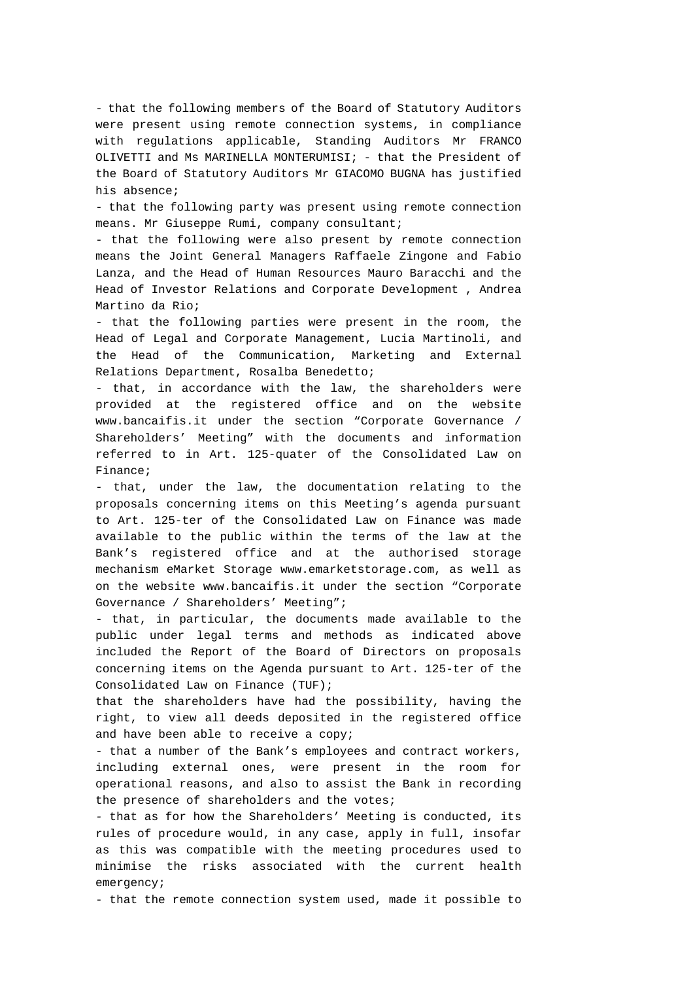- that the following members of the Board of Statutory Auditors were present using remote connection systems, in compliance with regulations applicable, Standing Auditors Mr FRANCO OLIVETTI and Ms MARINELLA MONTERUMISI; - that the President of the Board of Statutory Auditors Mr GIACOMO BUGNA has justified his absence;

- that the following party was present using remote connection means. Mr Giuseppe Rumi, company consultant;

- that the following were also present by remote connection means the Joint General Managers Raffaele Zingone and Fabio Lanza, and the Head of Human Resources Mauro Baracchi and the Head of Investor Relations and Corporate Development , Andrea Martino da Rio;

- that the following parties were present in the room, the Head of Legal and Corporate Management, Lucia Martinoli, and the Head of the Communication, Marketing and External Relations Department, Rosalba Benedetto;

*-* that, in accordance with the law, the shareholders were provided at the registered office and on the website www.bancaifis.it under the section "Corporate Governance / Shareholders' Meeting" with the documents and information referred to in Art. 125-quater of the Consolidated Law on Finance;

*-* that, under the law, the documentation relating to the proposals concerning items on this Meeting's agenda pursuant to Art. 125-ter of the Consolidated Law on Finance was made available to the public within the terms of the law at the Bank's registered office and at the authorised storage mechanism eMarket Storage www.emarketstorage.com, as well as on the website www.bancaifis.it under the section "Corporate Governance / Shareholders' Meeting";

- that, in particular, the documents made available to the public under legal terms and methods as indicated above included the Report of the Board of Directors on proposals concerning items on the Agenda pursuant to Art. 125-ter of the Consolidated Law on Finance (TUF);

that the shareholders have had the possibility, having the right, to view all deeds deposited in the registered office and have been able to receive a copy;

*-* that a number of the Bank's employees and contract workers, including external ones, were present in the room for operational reasons, and also to assist the Bank in recording the presence of shareholders and the votes;

*-* that as for how the Shareholders' Meeting is conducted, its rules of procedure would, in any case, apply in full, insofar as this was compatible with the meeting procedures used to minimise the risks associated with the current health emergency;

- that the remote connection system used, made it possible to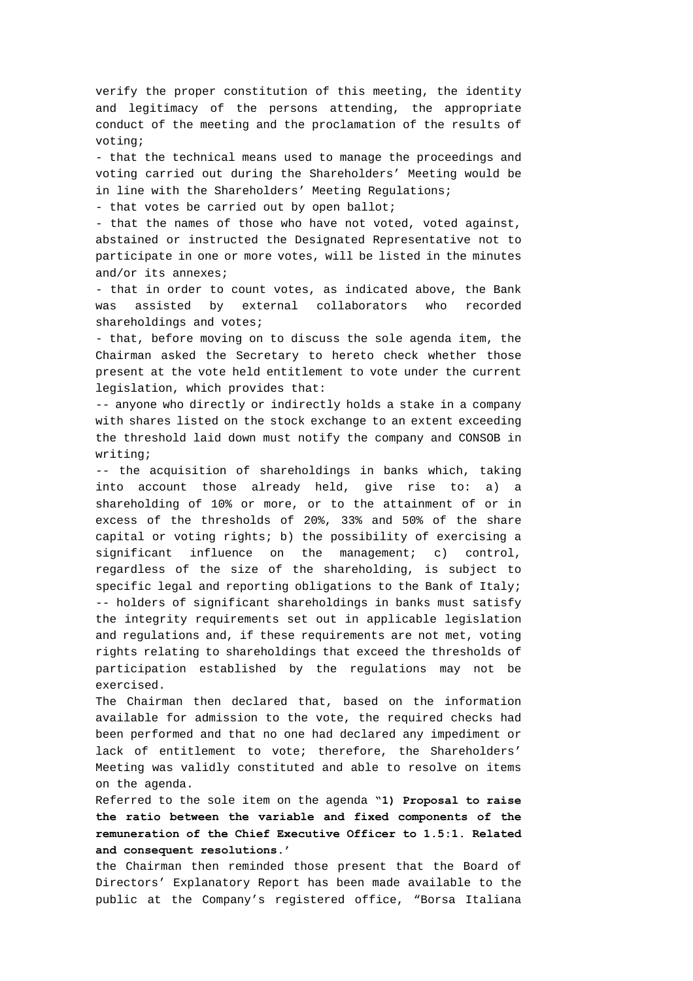verify the proper constitution of this meeting, the identity and legitimacy of the persons attending, the appropriate conduct of the meeting and the proclamation of the results of voting;

*-* that the technical means used to manage the proceedings and voting carried out during the Shareholders' Meeting would be in line with the Shareholders' Meeting Regulations;

- that votes be carried out by open ballot;

- that the names of those who have not voted, voted against, abstained or instructed the Designated Representative not to participate in one or more votes, will be listed in the minutes and/or its annexes;

- that in order to count votes, as indicated above, the Bank was assisted by external collaborators who recorded shareholdings and votes;

- that, before moving on to discuss the sole agenda item, the Chairman asked the Secretary to hereto check whether those present at the vote held entitlement to vote under the current legislation, which provides that:

-- anyone who directly or indirectly holds a stake in a company with shares listed on the stock exchange to an extent exceeding the threshold laid down must notify the company and CONSOB in writing;

-- the acquisition of shareholdings in banks which, taking into account those already held, give rise to: a) a shareholding of 10% or more, or to the attainment of or in excess of the thresholds of 20%, 33% and 50% of the share capital or voting rights; b) the possibility of exercising a significant influence on the management; c) control, regardless of the size of the shareholding, is subject to specific legal and reporting obligations to the Bank of Italy; *--* holders of significant shareholdings in banks must satisfy the integrity requirements set out in applicable legislation and regulations and, if these requirements are not met, voting rights relating to shareholdings that exceed the thresholds of participation established by the regulations may not be exercised.

The Chairman then declared that, based on the information available for admission to the vote, the required checks had been performed and that no one had declared any impediment or lack of entitlement to vote; therefore, the Shareholders' Meeting was validly constituted and able to resolve on items on the agenda.

Referred to the sole item on the agenda **"1) Proposal to raise the ratio between the variable and fixed components of the remuneration of the Chief Executive Officer to 1.5:1. Related and consequent resolutions.'**

the Chairman then reminded those present that the Board of Directors' Explanatory Report has been made available to the public at the Company's registered office, "Borsa Italiana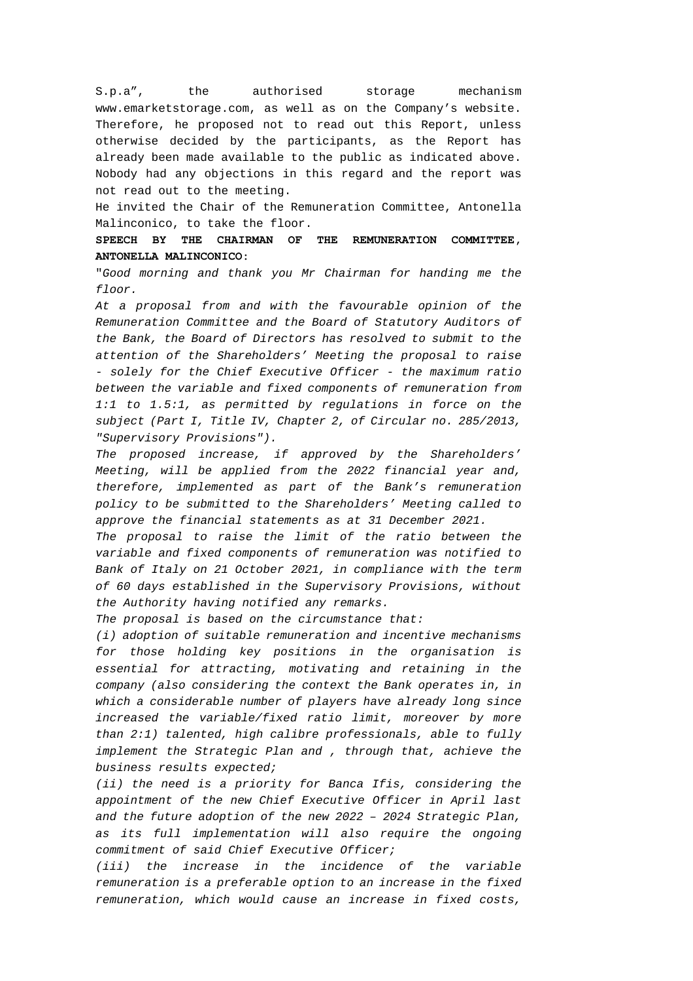S.p.a", the authorised storage mechanism www.emarketstorage.com, as well as on the Company's website. Therefore, he proposed not to read out this Report, unless otherwise decided by the participants, as the Report has already been made available to the public as indicated above. Nobody had any objections in this regard and the report was not read out to the meeting.

He invited the Chair of the Remuneration Committee, Antonella Malinconico, to take the floor.

**SPEECH BY THE CHAIRMAN OF THE REMUNERATION COMMITTEE, ANTONELLA MALINCONICO:** 

"*Good morning and thank you Mr Chairman for handing me the floor.* 

*At a proposal from and with the favourable opinion of the Remuneration Committee and the Board of Statutory Auditors of the Bank, the Board of Directors has resolved to submit to the attention of the Shareholders' Meeting the proposal to raise - solely for the Chief Executive Officer - the maximum ratio between the variable and fixed components of remuneration from 1:1 to 1.5:1, as permitted by regulations in force on the subject (Part I, Title IV, Chapter 2, of Circular no. 285/2013, "Supervisory Provisions").* 

*The proposed increase, if approved by the Shareholders' Meeting, will be applied from the 2022 financial year and, therefore, implemented as part of the Bank's remuneration policy to be submitted to the Shareholders' Meeting called to approve the financial statements as at 31 December 2021.* 

*The proposal to raise the limit of the ratio between the variable and fixed components of remuneration was notified to Bank of Italy on 21 October 2021, in compliance with the term of 60 days established in the Supervisory Provisions, without the Authority having notified any remarks.* 

*The proposal is based on the circumstance that:* 

*(i) adoption of suitable remuneration and incentive mechanisms for those holding key positions in the organisation is essential for attracting, motivating and retaining in the company (also considering the context the Bank operates in, in which a considerable number of players have already long since increased the variable/fixed ratio limit, moreover by more than 2:1) talented, high calibre professionals, able to fully implement the Strategic Plan and , through that, achieve the business results expected;* 

*(ii) the need is a priority for Banca Ifis, considering the appointment of the new Chief Executive Officer in April last and the future adoption of the new 2022 – 2024 Strategic Plan, as its full implementation will also require the ongoing commitment of said Chief Executive Officer;* 

*(iii) the increase in the incidence of the variable remuneration is a preferable option to an increase in the fixed remuneration, which would cause an increase in fixed costs,*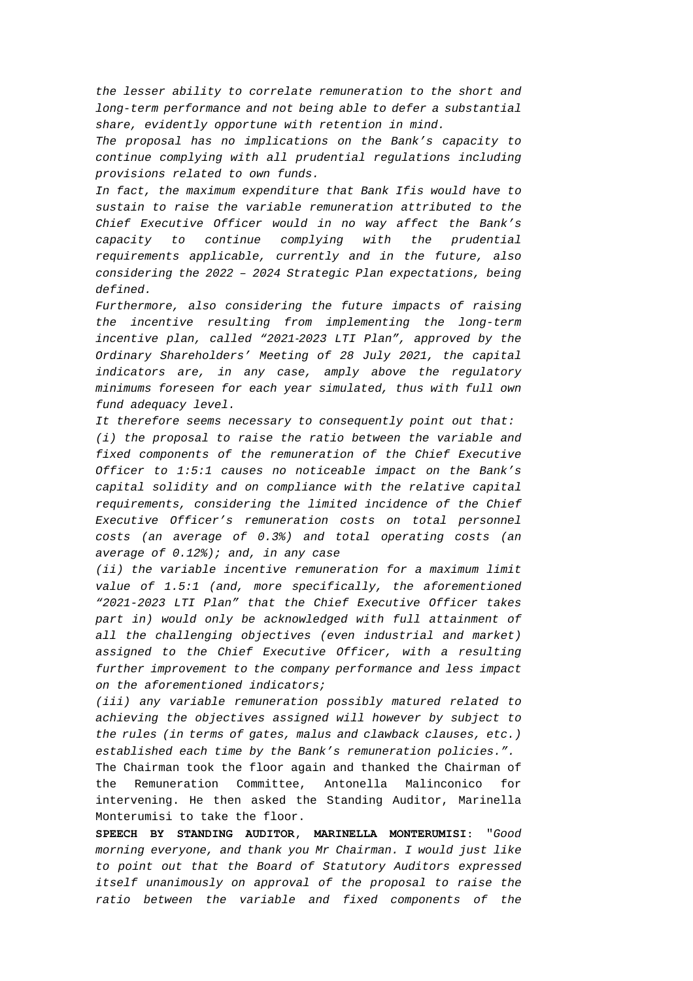*the lesser ability to correlate remuneration to the short and long-term performance and not being able to defer a substantial share, evidently opportune with retention in mind.* 

*The proposal has no implications on the Bank's capacity to continue complying with all prudential regulations including provisions related to own funds.* 

*In fact, the maximum expenditure that Bank Ifis would have to sustain to raise the variable remuneration attributed to the Chief Executive Officer would in no way affect the Bank's capacity to continue complying with the prudential requirements applicable, currently and in the future, also considering the 2022 – 2024 Strategic Plan expectations, being defined.* 

*Furthermore, also considering the future impacts of raising the incentive resulting from implementing the long-term incentive plan, called "2021*-*2023 LTI Plan", approved by the Ordinary Shareholders' Meeting of 28 July 2021, the capital indicators are, in any case, amply above the regulatory minimums foreseen for each year simulated, thus with full own fund adequacy level.* 

*It therefore seems necessary to consequently point out that: (i) the proposal to raise the ratio between the variable and fixed components of the remuneration of the Chief Executive Officer to 1:5:1 causes no noticeable impact on the Bank's capital solidity and on compliance with the relative capital requirements, considering the limited incidence of the Chief Executive Officer's remuneration costs on total personnel costs (an average of 0.3%) and total operating costs (an average of 0.12%); and, in any case* 

*(ii) the variable incentive remuneration for a maximum limit value of 1.5:1 (and, more specifically, the aforementioned "2021-2023 LTI Plan" that the Chief Executive Officer takes part in) would only be acknowledged with full attainment of all the challenging objectives (even industrial and market) assigned to the Chief Executive Officer, with a resulting further improvement to the company performance and less impact on the aforementioned indicators;* 

*(iii) any variable remuneration possibly matured related to achieving the objectives assigned will however by subject to the rules (in terms of gates, malus and clawback clauses, etc.) established each time by the Bank's remuneration policies.".*

The Chairman took the floor again and thanked the Chairman of the Remuneration Committee, Antonella Malinconico for intervening. He then asked the Standing Auditor, Marinella Monterumisi to take the floor.

**SPEECH BY STANDING AUDITOR, MARINELLA MONTERUMISI:** "*Good morning everyone, and thank you Mr Chairman. I would just like to point out that the Board of Statutory Auditors expressed itself unanimously on approval of the proposal to raise the ratio between the variable and fixed components of the*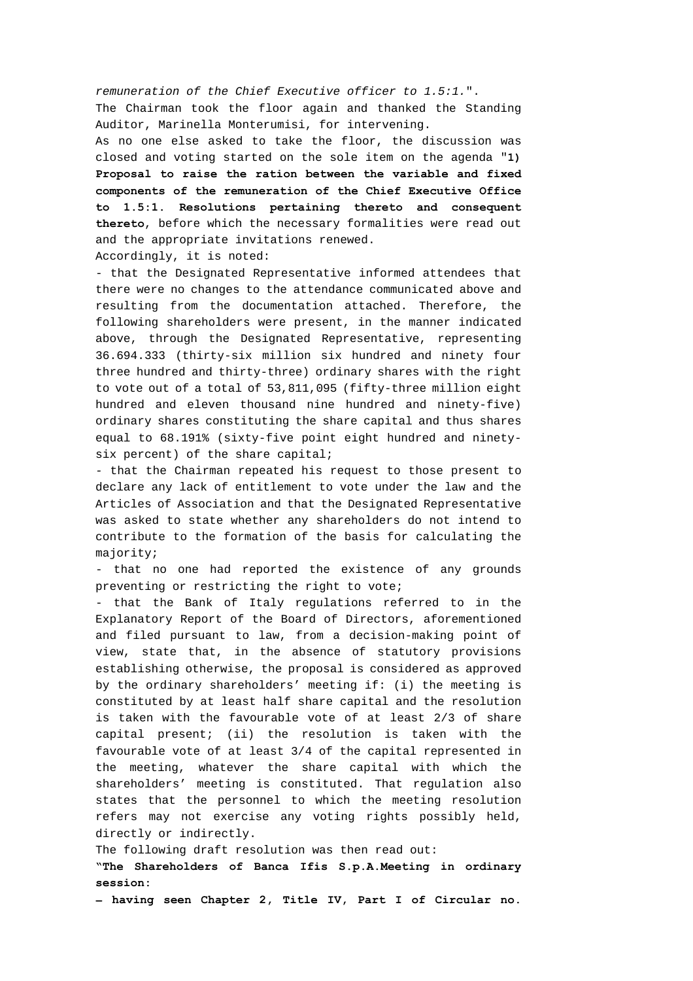*remuneration of the Chief Executive officer to 1.5:1.*". The Chairman took the floor again and thanked the Standing Auditor, Marinella Monterumisi, for intervening.

As no one else asked to take the floor, the discussion was closed and voting started on the sole item on the agenda "**1) Proposal to raise the ration between the variable and fixed components of the remuneration of the Chief Executive Office to 1.5:1. Resolutions pertaining thereto and consequent thereto**, before which the necessary formalities were read out and the appropriate invitations renewed.

Accordingly, it is noted:

- that the Designated Representative informed attendees that there were no changes to the attendance communicated above and resulting from the documentation attached. Therefore, the following shareholders were present, in the manner indicated above, through the Designated Representative, representing 36.694.333 (thirty-six million six hundred and ninety four three hundred and thirty-three) ordinary shares with the right to vote out of a total of 53,811,095 (fifty-three million eight hundred and eleven thousand nine hundred and ninety-five) ordinary shares constituting the share capital and thus shares equal to 68.191% (sixty-five point eight hundred and ninetysix percent) of the share capital;

*-* that the Chairman repeated his request to those present to declare any lack of entitlement to vote under the law and the Articles of Association and that the Designated Representative was asked to state whether any shareholders do not intend to contribute to the formation of the basis for calculating the majority;

- that no one had reported the existence of any grounds preventing or restricting the right to vote;

- that the Bank of Italy regulations referred to in the Explanatory Report of the Board of Directors, aforementioned and filed pursuant to law, from a decision-making point of view, state that, in the absence of statutory provisions establishing otherwise, the proposal is considered as approved by the ordinary shareholders' meeting if: (i) the meeting is constituted by at least half share capital and the resolution is taken with the favourable vote of at least 2/3 of share capital present; (ii) the resolution is taken with the favourable vote of at least 3/4 of the capital represented in the meeting, whatever the share capital with which the shareholders' meeting is constituted. That regulation also states that the personnel to which the meeting resolution refers may not exercise any voting rights possibly held, directly or indirectly.

The following draft resolution was then read out:

**"The Shareholders of Banca Ifis S.p.A.Meeting in ordinary session:** 

**‒ having seen Chapter 2, Title IV, Part I of Circular no.**